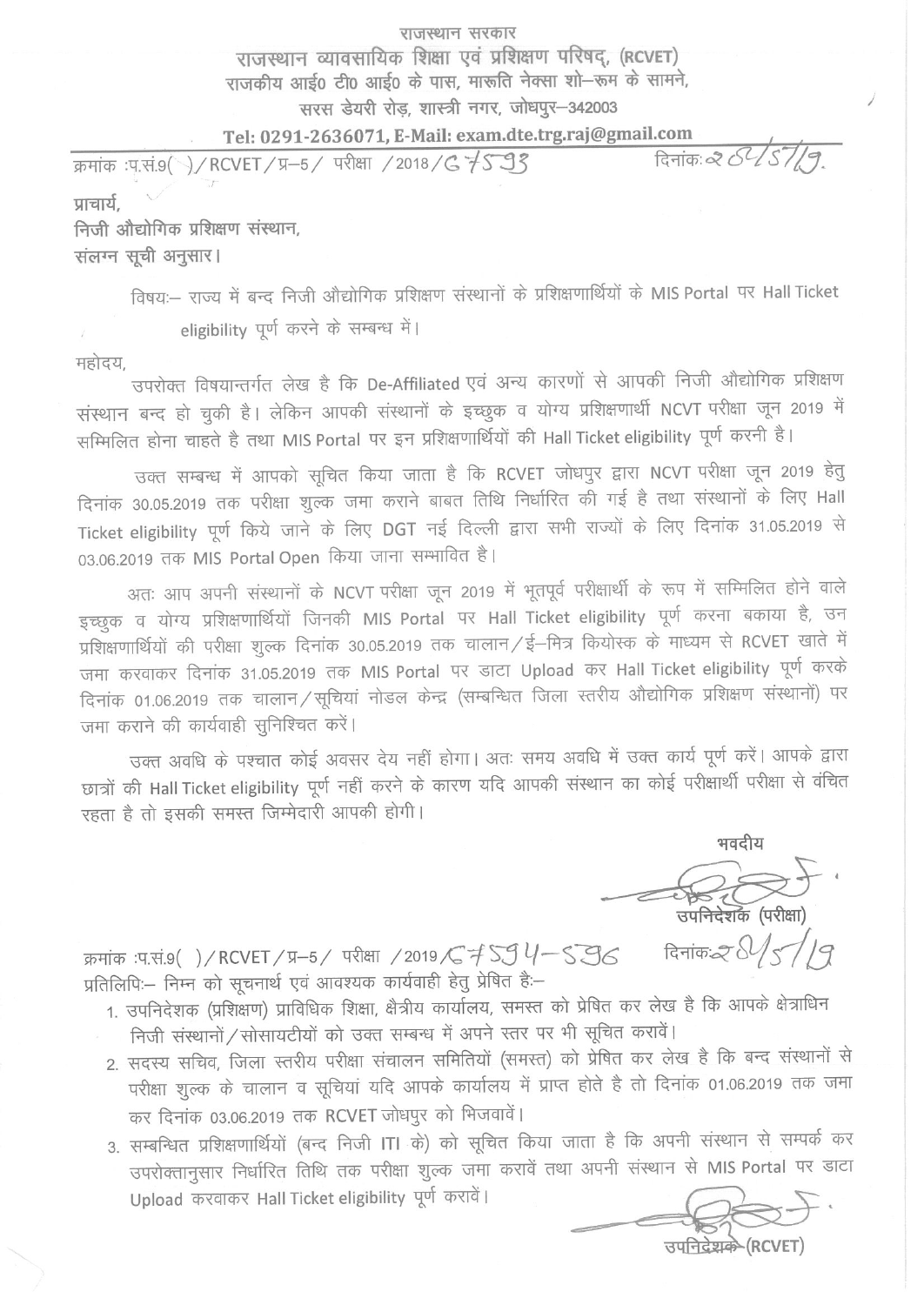## राजस्थान सरकार राजस्थान व्यावसायिक शिक्षा एवं प्रशिक्षण परिषद, (RCVET) राजकीय आई0 टी0 आई0 के पास, मारूति नेक्सा शो-रूम के सामने, सरस डेयरी रोड़, शास्त्री नगर, जोधपुर-342003

Tel: 0291-2636071, E-Mail: exam.dte.trg.raj@gmail.com

दिनांक: 2 51/9 क्रमांक :प.सं.9( )/ RCVET / प्र-5 / परीक्षा / 2018 / G 7 5 9 3 प्राचार्य.

निजी औद्योगिक प्रशिक्षण संस्थान, संलग्न सूची अनुसार।

विषय:-- राज्य में बन्द निजी औद्योगिक प्रशिक्षण संस्थानों के प्रशिक्षणार्थियों के MIS Portal पर Hall Ticket eligibility पूर्ण करने के सम्बन्ध में।

महोदय

उपरोक्त विषयान्तर्गत लेख है कि De-Affiliated एवं अन्य कारणों से आपकी निजी औद्योगिक प्रशिक्षण संस्थान बन्द हो चुकी है। लेकिन आपकी संस्थानों के इच्छुक व योग्य प्रशिक्षणार्थी NCVT परीक्षा जून 2019 में सम्मिलित होना चाहते है तथा MIS Portal पर इन प्रशिक्षणार्थियों की Hall Ticket eligibility पूर्ण करनी है।

उक्त सम्बन्ध में आपको सूचित किया जाता है कि RCVET जोधपुर द्वारा NCVT परीक्षा जून 2019 हेतु दिनांक 30.05.2019 तक परीक्षा शुल्क जमा कराने बाबत तिथि निर्धारित की गई है तथा संस्थानों के लिए Hall Ticket eligibility पूर्ण किये जाने के लिए DGT नई दिल्ली द्वारा सभी राज्यों के लिए दिनांक 31.05.2019 से 03.06.2019 तक MIS Portal Open किया जाना सम्भावित है।

अतः आप अपनी संस्थानों के NCVT परीक्षा जून 2019 में भूतपूर्व परीक्षार्थी के रूप में सम्मिलित होने वाले इच्छुक व योग्य प्रशिक्षणार्थियों जिनकी MIS Portal पर Hall Ticket eligibility पूर्ण करना बकाया है, उन प्रशिक्षणार्थियों की परीक्षा शुल्क दिनांक 30.05.2019 तक चालान / ई–मित्र कियोस्क के माध्यम से RCVET खाते में जमा करवाकर दिनांक 31.05.2019 तक MIS Portal पर डाटा Upload कर Hall Ticket eligibility पूर्ण करके दिनांक 01.06.2019 तक चालान/सूचियां नोडल केन्द्र (सम्बन्धित जिला स्तरीय औद्योगिक प्रशिक्षण संस्थानों) पर जमा कराने की कार्यवाही सुनिश्चित करें।

उक्त अवधि के पश्चात कोई अवसर देय नहीं होगा। अतः समय अवधि में उक्त कार्य पूर्ण करें। आपके द्वारा छात्रों की Hall Ticket eligibility पूर्ण नहीं करने के कारण यदि आपकी संस्थान का कोई परीक्षार्थी परीक्षा से वंचित रहता है तो इसकी समस्त जिम्मेदारी आपकी होगी।

भवदीय <del>् २८०००</del><br>उपनिदेशक (परीक्षा) दिनांक $2\sqrt{5/7}$ 

क्रमांक :प.सं.९( )/RCVET/प्र-5/ परीक्षा /2019 / ई SJ 4-S SG प्रतिलिपिः – निम्न को सूचनार्थ एवं आवश्यक कार्यवाही हेतु प्रेषित हैः –

- 1. उपनिदेशक (प्रशिक्षण) प्राविधिक शिक्षा, क्षैत्रीय कार्यालय, समस्त को प्रेषित कर लेख है कि आपके क्षेत्राधिन निजी संस्थानों / सोसायटीयों को उक्त सम्बन्ध में अपने स्तर पर भी सूचित करावें।
- 2. सदस्य सचिव, जिला स्तरीय परीक्षा संचालन समितियों (समस्त) को प्रेषित कर लेख है कि बन्द संस्थानों से परीक्षा शुल्क के चालान व सूचियां यदि आपके कार्यालय में प्राप्त होते है तो दिनांक 01.06.2019 तक जमा कर दिनांक 03.06.2019 तक RCVET जोधपुर को भिजवावें।
- 3. सम्बन्धित प्रशिक्षणार्थियों (बन्द निजी ITI के) को सूचित किया जाता है कि अपनी संस्थान से सम्पर्क कर उपरोक्तानुसार निर्धारित तिथि तक परीक्षा शुल्क जमा करावें तथा अपनी संस्थान से MIS Portal पर डाटा Upload करवाकर Hall Ticket eligibility पूर्ण करावें।

उपनिदेशके (RCVET)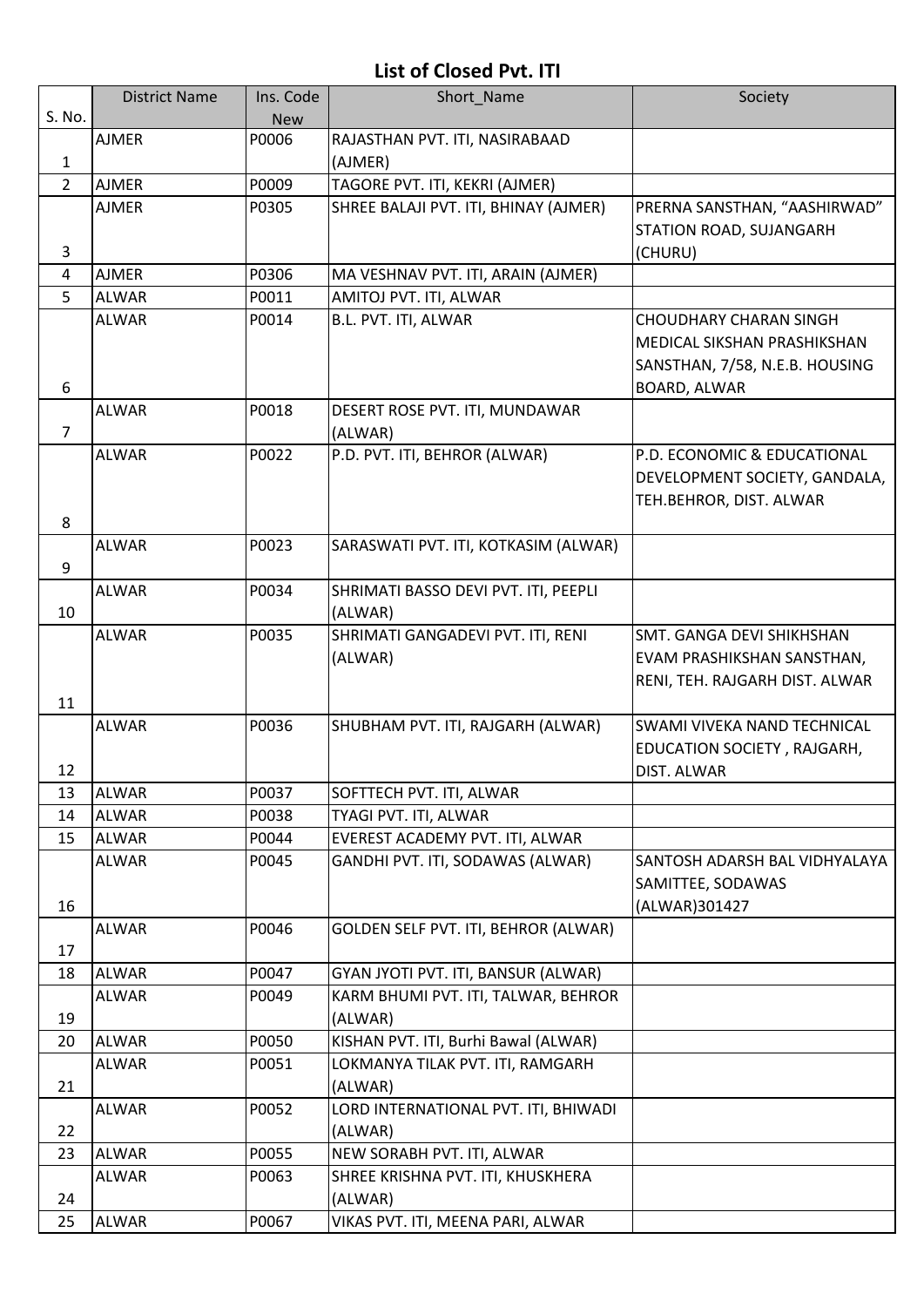## **List of Closed Pvt. ITI**

|                | <b>District Name</b> | Ins. Code  | Short Name                                      | Society                                                                                        |
|----------------|----------------------|------------|-------------------------------------------------|------------------------------------------------------------------------------------------------|
| S. No.         |                      | <b>New</b> |                                                 |                                                                                                |
| 1              | <b>AJMER</b>         | P0006      | RAJASTHAN PVT. ITI, NASIRABAAD<br>(AJMER)       |                                                                                                |
| $\overline{2}$ | <b>AJMER</b>         | P0009      | TAGORE PVT. ITI, KEKRI (AJMER)                  |                                                                                                |
|                | <b>AJMER</b>         | P0305      | SHREE BALAJI PVT. ITI, BHINAY (AJMER)           | PRERNA SANSTHAN, "AASHIRWAD"<br>STATION ROAD, SUJANGARH                                        |
| 3              |                      |            |                                                 | (CHURU)                                                                                        |
| 4              | <b>AJMER</b>         | P0306      | MA VESHNAV PVT. ITI, ARAIN (AJMER)              |                                                                                                |
| 5              | <b>ALWAR</b>         | P0011      | AMITOJ PVT. ITI, ALWAR                          |                                                                                                |
| 6              | <b>ALWAR</b>         | P0014      | B.L. PVT. ITI, ALWAR                            | <b>CHOUDHARY CHARAN SINGH</b><br>MEDICAL SIKSHAN PRASHIKSHAN<br>SANSTHAN, 7/58, N.E.B. HOUSING |
|                |                      |            |                                                 | BOARD, ALWAR                                                                                   |
| $\overline{7}$ | <b>ALWAR</b>         | P0018      | DESERT ROSE PVT. ITI, MUNDAWAR<br>(ALWAR)       |                                                                                                |
| 8              | <b>ALWAR</b>         | P0022      | P.D. PVT. ITI, BEHROR (ALWAR)                   | P.D. ECONOMIC & EDUCATIONAL<br>DEVELOPMENT SOCIETY, GANDALA,<br>TEH.BEHROR, DIST. ALWAR        |
| 9              | <b>ALWAR</b>         | P0023      | SARASWATI PVT. ITI, KOTKASIM (ALWAR)            |                                                                                                |
| 10             | <b>ALWAR</b>         | P0034      | SHRIMATI BASSO DEVI PVT. ITI, PEEPLI<br>(ALWAR) |                                                                                                |
| 11             | <b>ALWAR</b>         | P0035      | SHRIMATI GANGADEVI PVT. ITI, RENI<br>(ALWAR)    | SMT. GANGA DEVI SHIKHSHAN<br>EVAM PRASHIKSHAN SANSTHAN,<br>RENI, TEH. RAJGARH DIST. ALWAR      |
| 12             | <b>ALWAR</b>         | P0036      | SHUBHAM PVT. ITI, RAJGARH (ALWAR)               | SWAMI VIVEKA NAND TECHNICAL<br>EDUCATION SOCIETY, RAJGARH,<br>DIST. ALWAR                      |
| 13             | <b>ALWAR</b>         | P0037      | SOFTTECH PVT. ITI, ALWAR                        |                                                                                                |
| 14             | <b>ALWAR</b>         | P0038      | TYAGI PVT. ITI, ALWAR                           |                                                                                                |
| 15             | <b>ALWAR</b>         | P0044      | EVEREST ACADEMY PVT. ITI, ALWAR                 |                                                                                                |
| 16             | <b>ALWAR</b>         | P0045      | GANDHI PVT. ITI, SODAWAS (ALWAR)                | SANTOSH ADARSH BAL VIDHYALAYA<br>SAMITTEE, SODAWAS<br>(ALWAR)301427                            |
| 17             | <b>ALWAR</b>         | P0046      | GOLDEN SELF PVT. ITI, BEHROR (ALWAR)            |                                                                                                |
| 18             | <b>ALWAR</b>         | P0047      | GYAN JYOTI PVT. ITI, BANSUR (ALWAR)             |                                                                                                |
| 19             | <b>ALWAR</b>         | P0049      | KARM BHUMI PVT. ITI, TALWAR, BEHROR<br>(ALWAR)  |                                                                                                |
| 20             | <b>ALWAR</b>         | P0050      | KISHAN PVT. ITI, Burhi Bawal (ALWAR)            |                                                                                                |
| 21             | ALWAR                | P0051      | LOKMANYA TILAK PVT. ITI, RAMGARH<br>(ALWAR)     |                                                                                                |
| 22             | ALWAR                | P0052      | LORD INTERNATIONAL PVT. ITI, BHIWADI<br>(ALWAR) |                                                                                                |
| 23             | <b>ALWAR</b>         | P0055      | NEW SORABH PVT. ITI, ALWAR                      |                                                                                                |
| 24             | <b>ALWAR</b>         | P0063      | SHREE KRISHNA PVT. ITI, KHUSKHERA<br>(ALWAR)    |                                                                                                |
| 25             | <b>ALWAR</b>         | P0067      | VIKAS PVT. ITI, MEENA PARI, ALWAR               |                                                                                                |
|                |                      |            |                                                 |                                                                                                |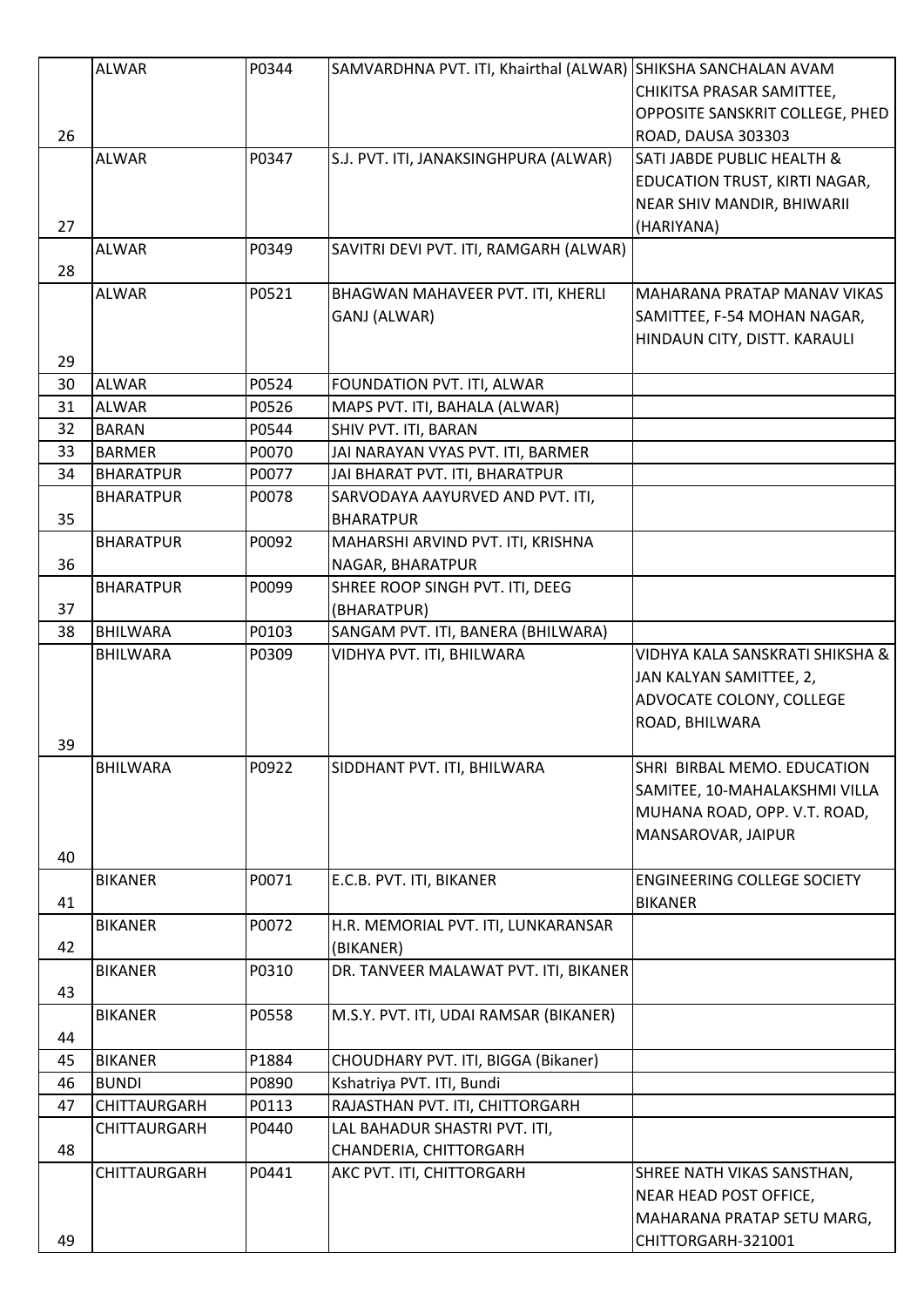|    | <b>ALWAR</b>     | P0344 | SAMVARDHNA PVT. ITI, Khairthal (ALWAR) SHIKSHA SANCHALAN AVAM |                                                      |
|----|------------------|-------|---------------------------------------------------------------|------------------------------------------------------|
|    |                  |       |                                                               | CHIKITSA PRASAR SAMITTEE,                            |
|    |                  |       |                                                               | OPPOSITE SANSKRIT COLLEGE, PHED                      |
| 26 |                  |       |                                                               | ROAD, DAUSA 303303                                   |
|    | <b>ALWAR</b>     | P0347 | S.J. PVT. ITI, JANAKSINGHPURA (ALWAR)                         | SATI JABDE PUBLIC HEALTH &                           |
|    |                  |       |                                                               | EDUCATION TRUST, KIRTI NAGAR,                        |
|    |                  |       |                                                               | NEAR SHIV MANDIR, BHIWARII                           |
| 27 |                  |       |                                                               | (HARIYANA)                                           |
|    | <b>ALWAR</b>     | P0349 | SAVITRI DEVI PVT. ITI, RAMGARH (ALWAR)                        |                                                      |
| 28 |                  |       |                                                               |                                                      |
|    | ALWAR            | P0521 | BHAGWAN MAHAVEER PVT. ITI, KHERLI                             | MAHARANA PRATAP MANAV VIKAS                          |
|    |                  |       | GANJ (ALWAR)                                                  | SAMITTEE, F-54 MOHAN NAGAR,                          |
|    |                  |       |                                                               | HINDAUN CITY, DISTT. KARAULI                         |
| 29 |                  |       |                                                               |                                                      |
| 30 | <b>ALWAR</b>     | P0524 | FOUNDATION PVT. ITI, ALWAR                                    |                                                      |
| 31 | <b>ALWAR</b>     | P0526 | MAPS PVT. ITI, BAHALA (ALWAR)                                 |                                                      |
| 32 | <b>BARAN</b>     | P0544 | SHIV PVT. ITI, BARAN                                          |                                                      |
| 33 | <b>BARMER</b>    | P0070 | JAI NARAYAN VYAS PVT. ITI, BARMER                             |                                                      |
| 34 | <b>BHARATPUR</b> | P0077 | JAI BHARAT PVT. ITI, BHARATPUR                                |                                                      |
|    | <b>BHARATPUR</b> | P0078 | SARVODAYA AAYURVED AND PVT. ITI,                              |                                                      |
| 35 |                  |       | <b>BHARATPUR</b>                                              |                                                      |
|    | <b>BHARATPUR</b> | P0092 | MAHARSHI ARVIND PVT. ITI, KRISHNA                             |                                                      |
| 36 |                  |       | NAGAR, BHARATPUR                                              |                                                      |
|    | <b>BHARATPUR</b> | P0099 | SHREE ROOP SINGH PVT. ITI, DEEG                               |                                                      |
| 37 |                  |       | (BHARATPUR)                                                   |                                                      |
| 38 | <b>BHILWARA</b>  | P0103 | SANGAM PVT. ITI, BANERA (BHILWARA)                            |                                                      |
|    | <b>BHILWARA</b>  | P0309 | VIDHYA PVT. ITI, BHILWARA                                     | VIDHYA KALA SANSKRATI SHIKSHA &                      |
|    |                  |       |                                                               | JAN KALYAN SAMITTEE, 2,                              |
|    |                  |       |                                                               | ADVOCATE COLONY, COLLEGE                             |
|    |                  |       |                                                               | ROAD, BHILWARA                                       |
| 39 |                  |       |                                                               |                                                      |
|    | <b>BHILWARA</b>  | P0922 | SIDDHANT PVT. ITI, BHILWARA                                   | SHRI BIRBAL MEMO. EDUCATION                          |
|    |                  |       |                                                               | SAMITEE, 10-MAHALAKSHMI VILLA                        |
|    |                  |       |                                                               | MUHANA ROAD, OPP. V.T. ROAD,                         |
|    |                  |       |                                                               | MANSAROVAR, JAIPUR                                   |
| 40 |                  |       |                                                               |                                                      |
|    | <b>BIKANER</b>   | P0071 | E.C.B. PVT. ITI, BIKANER                                      | <b>ENGINEERING COLLEGE SOCIETY</b>                   |
| 41 |                  |       |                                                               | <b>BIKANER</b>                                       |
|    | <b>BIKANER</b>   | P0072 | H.R. MEMORIAL PVT. ITI, LUNKARANSAR                           |                                                      |
| 42 |                  |       | (BIKANER)                                                     |                                                      |
|    | <b>BIKANER</b>   | P0310 | DR. TANVEER MALAWAT PVT. ITI, BIKANER                         |                                                      |
| 43 |                  |       |                                                               |                                                      |
|    | <b>BIKANER</b>   | P0558 | M.S.Y. PVT. ITI, UDAI RAMSAR (BIKANER)                        |                                                      |
| 44 |                  |       |                                                               |                                                      |
| 45 | <b>BIKANER</b>   | P1884 | CHOUDHARY PVT. ITI, BIGGA (Bikaner)                           |                                                      |
| 46 | <b>BUNDI</b>     | P0890 | Kshatriya PVT. ITI, Bundi                                     |                                                      |
| 47 | CHITTAURGARH     | P0113 | RAJASTHAN PVT. ITI, CHITTORGARH                               |                                                      |
|    | CHITTAURGARH     | P0440 | LAL BAHADUR SHASTRI PVT. ITI,                                 |                                                      |
| 48 |                  |       | CHANDERIA, CHITTORGARH                                        |                                                      |
|    | CHITTAURGARH     | P0441 | AKC PVT. ITI, CHITTORGARH                                     |                                                      |
|    |                  |       |                                                               | SHREE NATH VIKAS SANSTHAN,<br>NEAR HEAD POST OFFICE, |
|    |                  |       |                                                               |                                                      |
|    |                  |       |                                                               | MAHARANA PRATAP SETU MARG,                           |
| 49 |                  |       |                                                               | CHITTORGARH-321001                                   |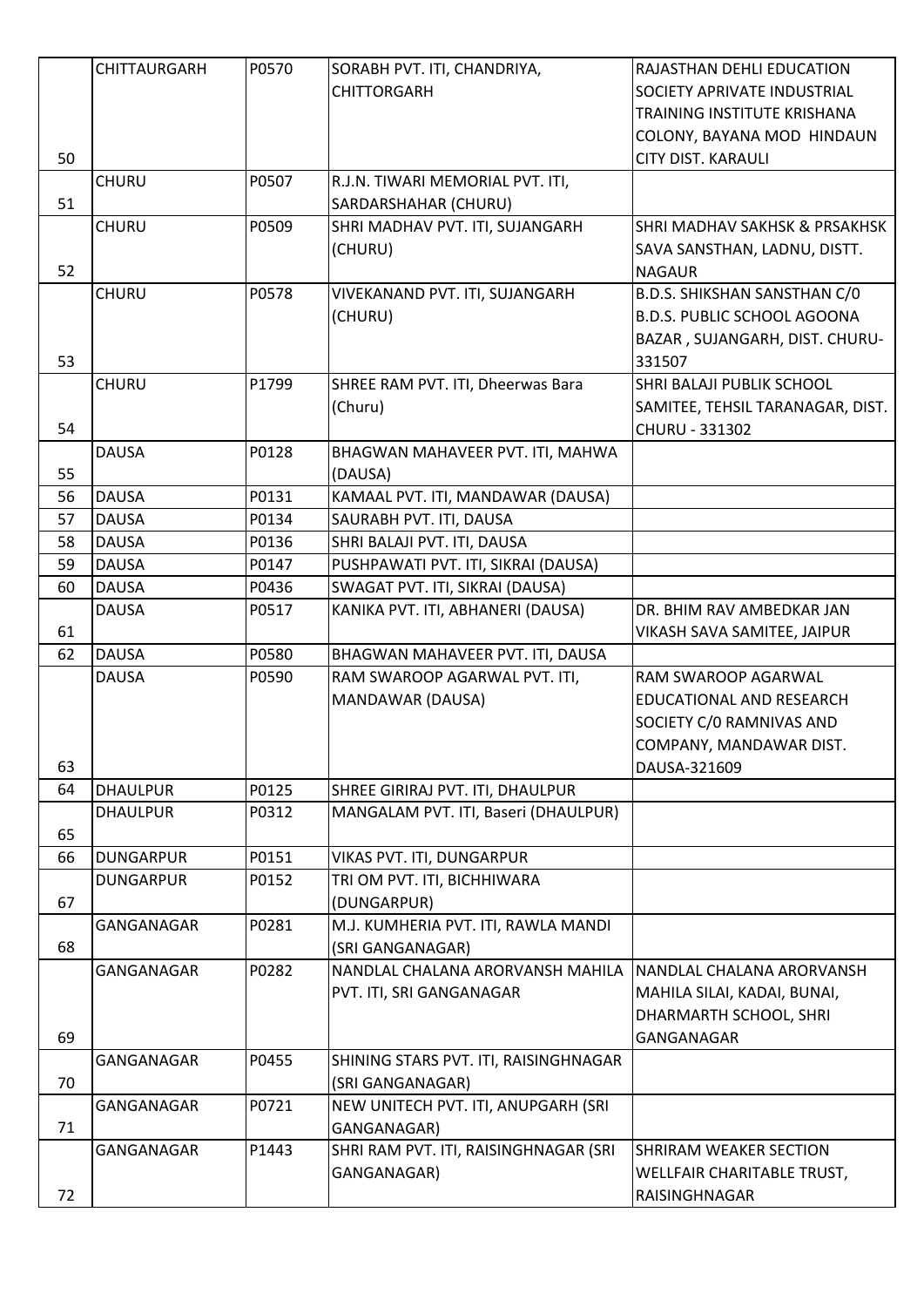|    | <b>CHITTAURGARH</b> | P0570 | SORABH PVT. ITI, CHANDRIYA,           | RAJASTHAN DEHLI EDUCATION                |
|----|---------------------|-------|---------------------------------------|------------------------------------------|
|    |                     |       | <b>CHITTORGARH</b>                    | SOCIETY APRIVATE INDUSTRIAL              |
|    |                     |       |                                       | TRAINING INSTITUTE KRISHANA              |
|    |                     |       |                                       | COLONY, BAYANA MOD HINDAUN               |
| 50 |                     |       |                                       | <b>CITY DIST. KARAULI</b>                |
|    | <b>CHURU</b>        | P0507 | R.J.N. TIWARI MEMORIAL PVT. ITI,      |                                          |
| 51 |                     |       | SARDARSHAHAR (CHURU)                  |                                          |
|    | <b>CHURU</b>        | P0509 | SHRI MADHAV PVT. ITI, SUJANGARH       | <b>SHRI MADHAV SAKHSK &amp; PRSAKHSK</b> |
|    |                     |       | (CHURU)                               | SAVA SANSTHAN, LADNU, DISTT.             |
| 52 |                     |       |                                       | <b>NAGAUR</b>                            |
|    | <b>CHURU</b>        | P0578 | VIVEKANAND PVT. ITI, SUJANGARH        | B.D.S. SHIKSHAN SANSTHAN C/0             |
|    |                     |       | (CHURU)                               | <b>B.D.S. PUBLIC SCHOOL AGOONA</b>       |
|    |                     |       |                                       |                                          |
|    |                     |       |                                       | BAZAR, SUJANGARH, DIST. CHURU-           |
| 53 |                     |       |                                       | 331507                                   |
|    | <b>CHURU</b>        | P1799 | SHREE RAM PVT. ITI, Dheerwas Bara     | SHRI BALAJI PUBLIK SCHOOL                |
|    |                     |       | (Churu)                               | SAMITEE, TEHSIL TARANAGAR, DIST.         |
| 54 |                     |       |                                       | CHURU - 331302                           |
|    | <b>DAUSA</b>        | P0128 | BHAGWAN MAHAVEER PVT. ITI, MAHWA      |                                          |
| 55 |                     |       | (DAUSA)                               |                                          |
| 56 | <b>DAUSA</b>        | P0131 | KAMAAL PVT. ITI, MANDAWAR (DAUSA)     |                                          |
| 57 | <b>DAUSA</b>        | P0134 | SAURABH PVT. ITI, DAUSA               |                                          |
| 58 | <b>DAUSA</b>        | P0136 | SHRI BALAJI PVT. ITI, DAUSA           |                                          |
| 59 | <b>DAUSA</b>        | P0147 | PUSHPAWATI PVT. ITI, SIKRAI (DAUSA)   |                                          |
| 60 | <b>DAUSA</b>        | P0436 | SWAGAT PVT. ITI, SIKRAI (DAUSA)       |                                          |
|    | <b>DAUSA</b>        | P0517 | KANIKA PVT. ITI, ABHANERI (DAUSA)     | DR. BHIM RAV AMBEDKAR JAN                |
| 61 |                     |       |                                       | VIKASH SAVA SAMITEE, JAIPUR              |
| 62 | <b>DAUSA</b>        | P0580 | BHAGWAN MAHAVEER PVT. ITI, DAUSA      |                                          |
|    | <b>DAUSA</b>        | P0590 | RAM SWAROOP AGARWAL PVT. ITI,         | RAM SWAROOP AGARWAL                      |
|    |                     |       | MANDAWAR (DAUSA)                      | EDUCATIONAL AND RESEARCH                 |
|    |                     |       |                                       | SOCIETY C/0 RAMNIVAS AND                 |
|    |                     |       |                                       | COMPANY, MANDAWAR DIST.                  |
| 63 |                     |       |                                       | DAUSA-321609                             |
| 64 | <b>DHAULPUR</b>     | P0125 | SHREE GIRIRAJ PVT. ITI, DHAULPUR      |                                          |
|    | <b>DHAULPUR</b>     | P0312 | MANGALAM PVT. ITI, Baseri (DHAULPUR)  |                                          |
| 65 |                     |       |                                       |                                          |
| 66 | <b>DUNGARPUR</b>    | P0151 | VIKAS PVT. ITI, DUNGARPUR             |                                          |
|    | <b>DUNGARPUR</b>    | P0152 | TRI OM PVT. ITI, BICHHIWARA           |                                          |
| 67 |                     |       | (DUNGARPUR)                           |                                          |
|    | GANGANAGAR          | P0281 | M.J. KUMHERIA PVT. ITI, RAWLA MANDI   |                                          |
| 68 |                     |       | (SRI GANGANAGAR)                      |                                          |
|    | GANGANAGAR          | P0282 | NANDLAL CHALANA ARORVANSH MAHILA      | NANDLAL CHALANA ARORVANSH                |
|    |                     |       | PVT. ITI, SRI GANGANAGAR              | MAHILA SILAI, KADAI, BUNAI,              |
|    |                     |       |                                       |                                          |
|    |                     |       |                                       | DHARMARTH SCHOOL, SHRI                   |
| 69 |                     |       |                                       | GANGANAGAR                               |
|    | GANGANAGAR          | P0455 | SHINING STARS PVT. ITI, RAISINGHNAGAR |                                          |
| 70 |                     |       | (SRI GANGANAGAR)                      |                                          |
|    | GANGANAGAR          | P0721 | NEW UNITECH PVT. ITI, ANUPGARH (SRI   |                                          |
| 71 |                     |       | GANGANAGAR)                           |                                          |
|    | GANGANAGAR          | P1443 | SHRI RAM PVT. ITI, RAISINGHNAGAR (SRI | <b>SHRIRAM WEAKER SECTION</b>            |
|    |                     |       | GANGANAGAR)                           | WELLFAIR CHARITABLE TRUST,               |
| 72 |                     |       |                                       | RAISINGHNAGAR                            |
|    |                     |       |                                       |                                          |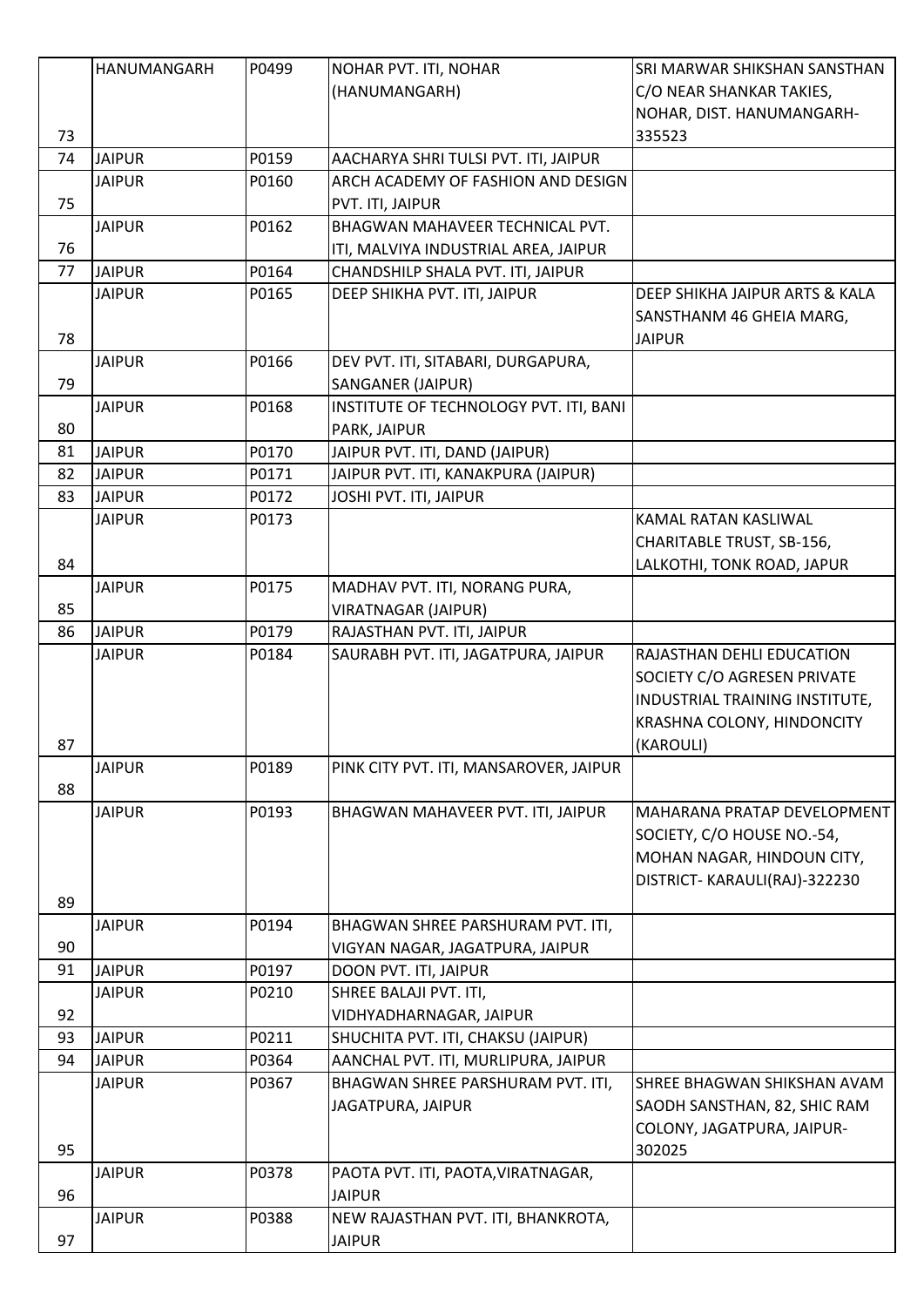|    | HANUMANGARH   | P0499 | NOHAR PVT. ITI, NOHAR                  | SRI MARWAR SHIKSHAN SANSTHAN       |
|----|---------------|-------|----------------------------------------|------------------------------------|
|    |               |       | (HANUMANGARH)                          | C/O NEAR SHANKAR TAKIES,           |
|    |               |       |                                        | NOHAR, DIST. HANUMANGARH-          |
| 73 |               |       |                                        | 335523                             |
| 74 | <b>JAIPUR</b> | P0159 | AACHARYA SHRI TULSI PVT. ITI, JAIPUR   |                                    |
|    | <b>JAIPUR</b> | P0160 | ARCH ACADEMY OF FASHION AND DESIGN     |                                    |
| 75 |               |       | PVT. ITI, JAIPUR                       |                                    |
|    | <b>JAIPUR</b> | P0162 | <b>BHAGWAN MAHAVEER TECHNICAL PVT.</b> |                                    |
| 76 |               |       | ITI, MALVIYA INDUSTRIAL AREA, JAIPUR   |                                    |
| 77 | <b>JAIPUR</b> | P0164 | CHANDSHILP SHALA PVT. ITI, JAIPUR      |                                    |
|    | <b>JAIPUR</b> | P0165 | DEEP SHIKHA PVT. ITI, JAIPUR           | DEEP SHIKHA JAIPUR ARTS & KALA     |
|    |               |       |                                        | SANSTHANM 46 GHEIA MARG,           |
| 78 |               |       |                                        | <b>JAIPUR</b>                      |
|    | <b>JAIPUR</b> | P0166 | DEV PVT. ITI, SITABARI, DURGAPURA,     |                                    |
| 79 |               |       | <b>SANGANER (JAIPUR)</b>               |                                    |
|    | <b>JAIPUR</b> | P0168 | INSTITUTE OF TECHNOLOGY PVT. ITI, BANI |                                    |
| 80 |               |       | PARK, JAIPUR                           |                                    |
| 81 | <b>JAIPUR</b> | P0170 | JAIPUR PVT. ITI, DAND (JAIPUR)         |                                    |
| 82 | <b>JAIPUR</b> | P0171 | JAIPUR PVT. ITI, KANAKPURA (JAIPUR)    |                                    |
| 83 | <b>JAIPUR</b> | P0172 | JOSHI PVT. ITI, JAIPUR                 |                                    |
|    | <b>JAIPUR</b> | P0173 |                                        | KAMAL RATAN KASLIWAL               |
|    |               |       |                                        | CHARITABLE TRUST, SB-156,          |
| 84 |               |       |                                        | LALKOTHI, TONK ROAD, JAPUR         |
|    | <b>JAIPUR</b> | P0175 | MADHAV PVT. ITI, NORANG PURA,          |                                    |
| 85 |               |       | <b>VIRATNAGAR (JAIPUR)</b>             |                                    |
| 86 | <b>JAIPUR</b> | P0179 | RAJASTHAN PVT. ITI, JAIPUR             |                                    |
|    | <b>JAIPUR</b> | P0184 | SAURABH PVT. ITI, JAGATPURA, JAIPUR    | RAJASTHAN DEHLI EDUCATION          |
|    |               |       |                                        | SOCIETY C/O AGRESEN PRIVATE        |
|    |               |       |                                        | INDUSTRIAL TRAINING INSTITUTE,     |
|    |               |       |                                        | KRASHNA COLONY, HINDONCITY         |
| 87 |               |       |                                        | (KAROULI)                          |
|    | <b>JAIPUR</b> | P0189 | PINK CITY PVT. ITI, MANSAROVER, JAIPUR |                                    |
| 88 |               |       |                                        |                                    |
|    | <b>JAIPUR</b> | P0193 | BHAGWAN MAHAVEER PVT. ITI, JAIPUR      | <b>MAHARANA PRATAP DEVELOPMENT</b> |
|    |               |       |                                        | SOCIETY, C/O HOUSE NO.-54,         |
|    |               |       |                                        | MOHAN NAGAR, HINDOUN CITY,         |
|    |               |       |                                        | DISTRICT- KARAULI(RAJ)-322230      |
| 89 |               |       |                                        |                                    |
|    | <b>JAIPUR</b> | P0194 | BHAGWAN SHREE PARSHURAM PVT. ITI,      |                                    |
| 90 |               |       | VIGYAN NAGAR, JAGATPURA, JAIPUR        |                                    |
| 91 | <b>JAIPUR</b> | P0197 | DOON PVT. ITI, JAIPUR                  |                                    |
|    | <b>JAIPUR</b> | P0210 | SHREE BALAJI PVT. ITI,                 |                                    |
| 92 |               |       | VIDHYADHARNAGAR, JAIPUR                |                                    |
| 93 | <b>JAIPUR</b> | P0211 | SHUCHITA PVT. ITI, CHAKSU (JAIPUR)     |                                    |
| 94 | <b>JAIPUR</b> | P0364 | AANCHAL PVT. ITI, MURLIPURA, JAIPUR    |                                    |
|    |               | P0367 |                                        | SHREE BHAGWAN SHIKSHAN AVAM        |
|    | <b>JAIPUR</b> |       | BHAGWAN SHREE PARSHURAM PVT. ITI,      |                                    |
|    |               |       | JAGATPURA, JAIPUR                      | SAODH SANSTHAN, 82, SHIC RAM       |
|    |               |       |                                        | COLONY, JAGATPURA, JAIPUR-         |
| 95 |               |       |                                        | 302025                             |
|    | <b>JAIPUR</b> | P0378 | PAOTA PVT. ITI, PAOTA, VIRATNAGAR,     |                                    |
| 96 |               |       | <b>JAIPUR</b>                          |                                    |
|    | <b>JAIPUR</b> | P0388 | NEW RAJASTHAN PVT. ITI, BHANKROTA,     |                                    |
| 97 |               |       | <b>JAIPUR</b>                          |                                    |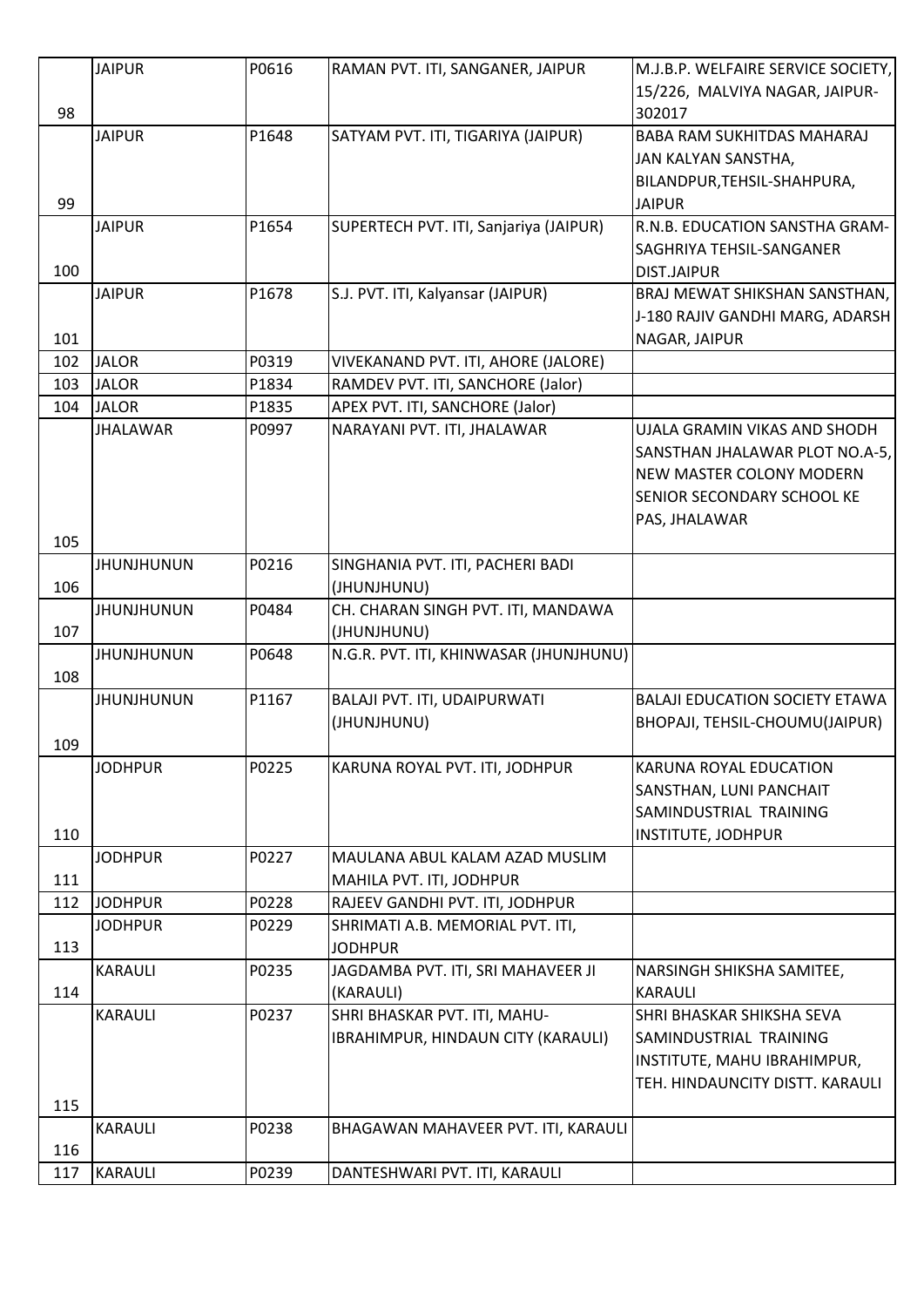|     | <b>JAIPUR</b>     | P0616 | RAMAN PVT. ITI, SANGANER, JAIPUR                                   | M.J.B.P. WELFAIRE SERVICE SOCIETY,<br>15/226, MALVIYA NAGAR, JAIPUR-                                                                             |
|-----|-------------------|-------|--------------------------------------------------------------------|--------------------------------------------------------------------------------------------------------------------------------------------------|
| 98  |                   |       |                                                                    | 302017                                                                                                                                           |
| 99  | <b>JAIPUR</b>     | P1648 | SATYAM PVT. ITI, TIGARIYA (JAIPUR)                                 | <b>BABA RAM SUKHITDAS MAHARAJ</b><br>JAN KALYAN SANSTHA,<br>BILANDPUR, TEHSIL-SHAHPURA,<br><b>JAIPUR</b>                                         |
| 100 | <b>JAIPUR</b>     | P1654 | SUPERTECH PVT. ITI, Sanjariya (JAIPUR)                             | R.N.B. EDUCATION SANSTHA GRAM-<br>SAGHRIYA TEHSIL-SANGANER<br><b>DIST.JAIPUR</b>                                                                 |
| 101 | <b>JAIPUR</b>     | P1678 | S.J. PVT. ITI, Kalyansar (JAIPUR)                                  | <b>BRAJ MEWAT SHIKSHAN SANSTHAN,</b><br>J-180 RAJIV GANDHI MARG, ADARSH<br>NAGAR, JAIPUR                                                         |
| 102 | <b>JALOR</b>      | P0319 | VIVEKANAND PVT. ITI, AHORE (JALORE)                                |                                                                                                                                                  |
| 103 | <b>JALOR</b>      | P1834 | RAMDEV PVT. ITI, SANCHORE (Jalor)                                  |                                                                                                                                                  |
| 104 | <b>JALOR</b>      | P1835 | APEX PVT. ITI, SANCHORE (Jalor)                                    |                                                                                                                                                  |
|     | <b>JHALAWAR</b>   | P0997 | NARAYANI PVT. ITI, JHALAWAR                                        | UJALA GRAMIN VIKAS AND SHODH<br>SANSTHAN JHALAWAR PLOT NO.A-5,<br>NEW MASTER COLONY MODERN<br><b>SENIOR SECONDARY SCHOOL KE</b><br>PAS, JHALAWAR |
| 105 | <b>JHUNJHUNUN</b> | P0216 |                                                                    |                                                                                                                                                  |
| 106 |                   |       | SINGHANIA PVT. ITI, PACHERI BADI<br>(JHUNJHUNU)                    |                                                                                                                                                  |
|     | <b>JHUNJHUNUN</b> | P0484 | CH. CHARAN SINGH PVT. ITI, MANDAWA                                 |                                                                                                                                                  |
| 107 |                   |       | (JHUNJHUNU)                                                        |                                                                                                                                                  |
| 108 | <b>JHUNJHUNUN</b> | P0648 | N.G.R. PVT. ITI, KHINWASAR (JHUNJHUNU)                             |                                                                                                                                                  |
| 109 | <b>JHUNJHUNUN</b> | P1167 | BALAJI PVT. ITI, UDAIPURWATI<br>(JHUNJHUNU)                        | <b>BALAJI EDUCATION SOCIETY ETAWA</b><br>BHOPAJI, TEHSIL-CHOUMU(JAIPUR)                                                                          |
| 110 | <b>JODHPUR</b>    | P0225 | KARUNA ROYAL PVT. ITI, JODHPUR                                     | KARUNA ROYAL EDUCATION<br>SANSTHAN, LUNI PANCHAIT<br>SAMINDUSTRIAL TRAINING<br><b>INSTITUTE, JODHPUR</b>                                         |
| 111 | <b>JODHPUR</b>    | P0227 | MAULANA ABUL KALAM AZAD MUSLIM<br>MAHILA PVT. ITI, JODHPUR         |                                                                                                                                                  |
| 112 | <b>JODHPUR</b>    | P0228 | RAJEEV GANDHI PVT. ITI, JODHPUR                                    |                                                                                                                                                  |
| 113 | <b>JODHPUR</b>    | P0229 | SHRIMATI A.B. MEMORIAL PVT. ITI,<br><b>JODHPUR</b>                 |                                                                                                                                                  |
| 114 | KARAULI           | P0235 | JAGDAMBA PVT. ITI, SRI MAHAVEER JI<br>(KARAULI)                    | NARSINGH SHIKSHA SAMITEE,<br><b>KARAULI</b>                                                                                                      |
| 115 | KARAULI           | P0237 | SHRI BHASKAR PVT. ITI, MAHU-<br>IBRAHIMPUR, HINDAUN CITY (KARAULI) | SHRI BHASKAR SHIKSHA SEVA<br>SAMINDUSTRIAL TRAINING<br>INSTITUTE, MAHU IBRAHIMPUR,<br>TEH. HINDAUNCITY DISTT. KARAULI                            |
|     | KARAULI           | P0238 | BHAGAWAN MAHAVEER PVT. ITI, KARAULI                                |                                                                                                                                                  |
| 116 |                   |       |                                                                    |                                                                                                                                                  |
| 117 | <b>KARAULI</b>    | P0239 | DANTESHWARI PVT. ITI, KARAULI                                      |                                                                                                                                                  |
|     |                   |       |                                                                    |                                                                                                                                                  |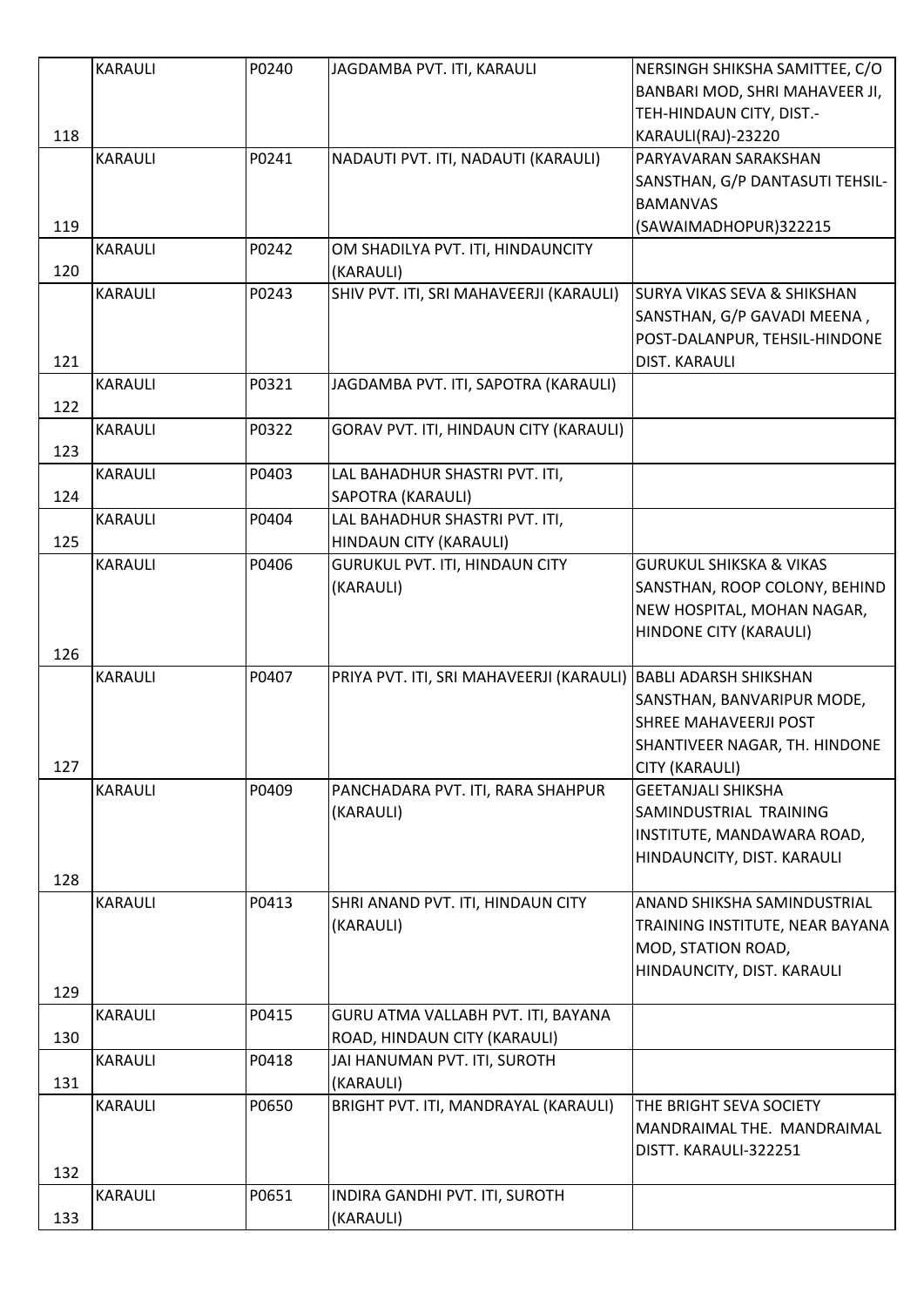|     | <b>KARAULI</b> | P0240 | JAGDAMBA PVT. ITI, KARAULI                                     | NERSINGH SHIKSHA SAMITTEE, C/O         |
|-----|----------------|-------|----------------------------------------------------------------|----------------------------------------|
|     |                |       |                                                                | BANBARI MOD, SHRI MAHAVEER JI,         |
|     |                |       |                                                                | TEH-HINDAUN CITY, DIST.-               |
| 118 |                |       |                                                                | KARAULI(RAJ)-23220                     |
|     | <b>KARAULI</b> | P0241 | NADAUTI PVT. ITI, NADAUTI (KARAULI)                            | PARYAVARAN SARAKSHAN                   |
|     |                |       |                                                                | SANSTHAN, G/P DANTASUTI TEHSIL-        |
|     |                |       |                                                                | <b>BAMANVAS</b>                        |
| 119 |                |       |                                                                | (SAWAIMADHOPUR)322215                  |
|     | <b>KARAULI</b> | P0242 | OM SHADILYA PVT. ITI, HINDAUNCITY                              |                                        |
| 120 |                |       | (KARAULI)                                                      |                                        |
|     | <b>KARAULI</b> | P0243 | SHIV PVT. ITI, SRI MAHAVEERJI (KARAULI)                        | <b>SURYA VIKAS SEVA &amp; SHIKSHAN</b> |
|     |                |       |                                                                | SANSTHAN, G/P GAVADI MEENA,            |
|     |                |       |                                                                | POST-DALANPUR, TEHSIL-HINDONE          |
| 121 |                |       |                                                                | <b>DIST. KARAULI</b>                   |
|     | <b>KARAULI</b> | P0321 | JAGDAMBA PVT. ITI, SAPOTRA (KARAULI)                           |                                        |
| 122 |                |       |                                                                |                                        |
|     | <b>KARAULI</b> | P0322 | GORAV PVT. ITI, HINDAUN CITY (KARAULI)                         |                                        |
| 123 |                |       |                                                                |                                        |
|     | <b>KARAULI</b> | P0403 | LAL BAHADHUR SHASTRI PVT. ITI,                                 |                                        |
| 124 |                |       | <b>SAPOTRA (KARAULI)</b>                                       |                                        |
|     | <b>KARAULI</b> | P0404 |                                                                |                                        |
|     |                |       | LAL BAHADHUR SHASTRI PVT. ITI,                                 |                                        |
| 125 |                |       | HINDAUN CITY (KARAULI)                                         |                                        |
|     | <b>KARAULI</b> | P0406 | <b>GURUKUL PVT. ITI, HINDAUN CITY</b>                          | <b>GURUKUL SHIKSKA &amp; VIKAS</b>     |
|     |                |       | (KARAULI)                                                      | SANSTHAN, ROOP COLONY, BEHIND          |
|     |                |       |                                                                | NEW HOSPITAL, MOHAN NAGAR,             |
|     |                |       |                                                                | HINDONE CITY (KARAULI)                 |
| 126 |                |       |                                                                |                                        |
|     | <b>KARAULI</b> | P0407 | PRIYA PVT. ITI, SRI MAHAVEERJI (KARAULI) BABLI ADARSH SHIKSHAN |                                        |
|     |                |       |                                                                | SANSTHAN, BANVARIPUR MODE,             |
|     |                |       |                                                                | <b>SHREE MAHAVEERJI POST</b>           |
|     |                |       |                                                                | SHANTIVEER NAGAR, TH. HINDONE          |
| 127 |                |       |                                                                | CITY (KARAULI)                         |
|     | <b>KARAULI</b> | P0409 | PANCHADARA PVT. ITI, RARA SHAHPUR                              | <b>GEETANJALI SHIKSHA</b>              |
|     |                |       | (KARAULI)                                                      | SAMINDUSTRIAL TRAINING                 |
|     |                |       |                                                                | INSTITUTE, MANDAWARA ROAD,             |
|     |                |       |                                                                | HINDAUNCITY, DIST. KARAULI             |
| 128 |                |       |                                                                |                                        |
|     | <b>KARAULI</b> | P0413 | SHRI ANAND PVT. ITI, HINDAUN CITY                              | <b>ANAND SHIKSHA SAMINDUSTRIAL</b>     |
|     |                |       | (KARAULI)                                                      | TRAINING INSTITUTE, NEAR BAYANA        |
|     |                |       |                                                                | MOD, STATION ROAD,                     |
|     |                |       |                                                                | HINDAUNCITY, DIST. KARAULI             |
| 129 |                |       |                                                                |                                        |
|     | <b>KARAULI</b> | P0415 | GURU ATMA VALLABH PVT. ITI, BAYANA                             |                                        |
| 130 |                |       | ROAD, HINDAUN CITY (KARAULI)                                   |                                        |
|     | <b>KARAULI</b> | P0418 | JAI HANUMAN PVT. ITI, SUROTH                                   |                                        |
| 131 |                |       | (KARAULI)                                                      |                                        |
|     | <b>KARAULI</b> | P0650 | BRIGHT PVT. ITI, MANDRAYAL (KARAULI)                           | THE BRIGHT SEVA SOCIETY                |
|     |                |       |                                                                | MANDRAIMAL THE. MANDRAIMAL             |
|     |                |       |                                                                |                                        |
|     |                |       |                                                                | DISTT. KARAULI-322251                  |
| 132 |                |       |                                                                |                                        |
|     | <b>KARAULI</b> | P0651 | INDIRA GANDHI PVT. ITI, SUROTH                                 |                                        |
| 133 |                |       | (KARAULI)                                                      |                                        |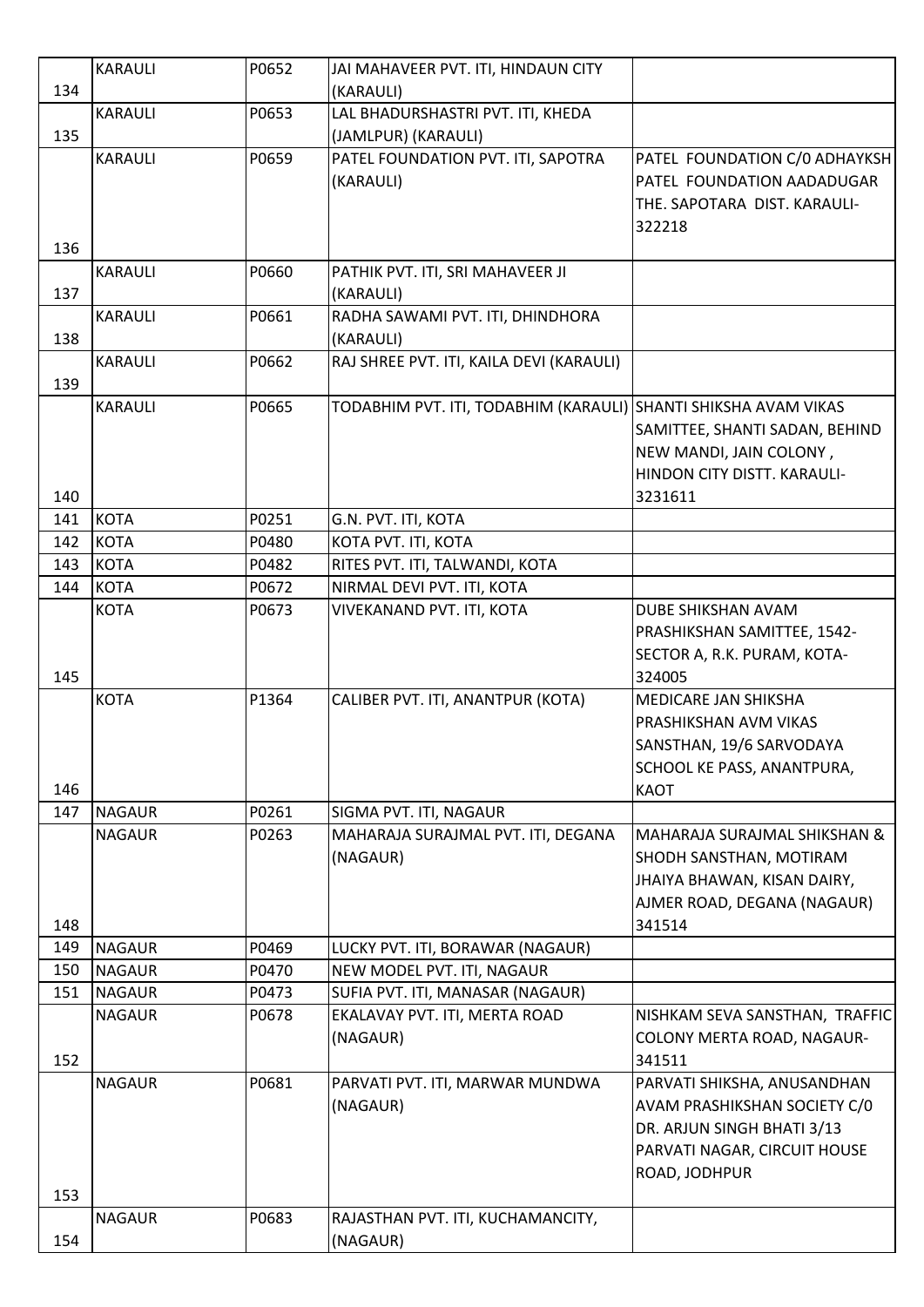|     | <b>KARAULI</b> | P0652 | JAI MAHAVEER PVT. ITI, HINDAUN CITY                             |                                                        |
|-----|----------------|-------|-----------------------------------------------------------------|--------------------------------------------------------|
| 134 |                |       | (KARAULI)                                                       |                                                        |
|     | <b>KARAULI</b> | P0653 | LAL BHADURSHASTRI PVT. ITI, KHEDA                               |                                                        |
| 135 |                |       | (JAMLPUR) (KARAULI)                                             |                                                        |
|     | <b>KARAULI</b> | P0659 | PATEL FOUNDATION PVT. ITI, SAPOTRA                              | PATEL FOUNDATION C/0 ADHAYKSH                          |
|     |                |       | (KARAULI)                                                       | PATEL FOUNDATION AADADUGAR                             |
|     |                |       |                                                                 | THE. SAPOTARA DIST. KARAULI-                           |
|     |                |       |                                                                 | 322218                                                 |
| 136 |                |       |                                                                 |                                                        |
|     | <b>KARAULI</b> | P0660 | PATHIK PVT. ITI, SRI MAHAVEER JI                                |                                                        |
| 137 |                |       | (KARAULI)                                                       |                                                        |
|     | <b>KARAULI</b> | P0661 | RADHA SAWAMI PVT. ITI, DHINDHORA                                |                                                        |
| 138 |                |       | (KARAULI)                                                       |                                                        |
|     | <b>KARAULI</b> | P0662 | RAJ SHREE PVT. ITI, KAILA DEVI (KARAULI)                        |                                                        |
| 139 |                |       |                                                                 |                                                        |
|     | <b>KARAULI</b> | P0665 | TODABHIM PVT. ITI, TODABHIM (KARAULI) SHANTI SHIKSHA AVAM VIKAS |                                                        |
|     |                |       |                                                                 | SAMITTEE, SHANTI SADAN, BEHIND                         |
|     |                |       |                                                                 |                                                        |
|     |                |       |                                                                 | NEW MANDI, JAIN COLONY,<br>HINDON CITY DISTT. KARAULI- |
|     |                |       |                                                                 |                                                        |
| 140 | <b>KOTA</b>    | P0251 |                                                                 | 3231611                                                |
| 141 |                |       | G.N. PVT. ITI, KOTA                                             |                                                        |
| 142 | <b>KOTA</b>    | P0480 | KOTA PVT. ITI, KOTA                                             |                                                        |
| 143 | <b>KOTA</b>    | P0482 | RITES PVT. ITI, TALWANDI, KOTA                                  |                                                        |
| 144 | <b>KOTA</b>    | P0672 | NIRMAL DEVI PVT. ITI, KOTA                                      |                                                        |
|     | <b>KOTA</b>    | P0673 | VIVEKANAND PVT. ITI, KOTA                                       | DUBE SHIKSHAN AVAM                                     |
|     |                |       |                                                                 | PRASHIKSHAN SAMITTEE, 1542-                            |
|     |                |       |                                                                 | SECTOR A, R.K. PURAM, KOTA-                            |
| 145 |                |       |                                                                 | 324005                                                 |
|     | <b>KOTA</b>    | P1364 | CALIBER PVT. ITI, ANANTPUR (KOTA)                               | MEDICARE JAN SHIKSHA                                   |
|     |                |       |                                                                 | PRASHIKSHAN AVM VIKAS                                  |
|     |                |       |                                                                 | SANSTHAN, 19/6 SARVODAYA                               |
|     |                |       |                                                                 | SCHOOL KE PASS, ANANTPURA,                             |
| 146 |                |       |                                                                 | <b>KAOT</b>                                            |
| 147 | <b>NAGAUR</b>  | P0261 | SIGMA PVT. ITI, NAGAUR                                          |                                                        |
|     | <b>NAGAUR</b>  | P0263 | MAHARAJA SURAJMAL PVT. ITI, DEGANA                              | MAHARAJA SURAJMAL SHIKSHAN &                           |
|     |                |       | (NAGAUR)                                                        | SHODH SANSTHAN, MOTIRAM                                |
|     |                |       |                                                                 | JHAIYA BHAWAN, KISAN DAIRY,                            |
|     |                |       |                                                                 | AJMER ROAD, DEGANA (NAGAUR)                            |
| 148 |                |       |                                                                 | 341514                                                 |
| 149 | <b>NAGAUR</b>  | P0469 | LUCKY PVT. ITI, BORAWAR (NAGAUR)                                |                                                        |
| 150 | <b>NAGAUR</b>  | P0470 | NEW MODEL PVT. ITI, NAGAUR                                      |                                                        |
| 151 | <b>NAGAUR</b>  | P0473 | SUFIA PVT. ITI, MANASAR (NAGAUR)                                |                                                        |
|     | <b>NAGAUR</b>  | P0678 | EKALAVAY PVT. ITI, MERTA ROAD                                   | NISHKAM SEVA SANSTHAN, TRAFFIC                         |
|     |                |       | (NAGAUR)                                                        | COLONY MERTA ROAD, NAGAUR-                             |
| 152 |                |       |                                                                 | 341511                                                 |
|     | <b>NAGAUR</b>  | P0681 | PARVATI PVT. ITI, MARWAR MUNDWA                                 | PARVATI SHIKSHA, ANUSANDHAN                            |
|     |                |       | (NAGAUR)                                                        | AVAM PRASHIKSHAN SOCIETY C/0                           |
|     |                |       |                                                                 | DR. ARJUN SINGH BHATI 3/13                             |
|     |                |       |                                                                 | PARVATI NAGAR, CIRCUIT HOUSE                           |
|     |                |       |                                                                 | ROAD, JODHPUR                                          |
| 153 |                |       |                                                                 |                                                        |
|     | <b>NAGAUR</b>  | P0683 | RAJASTHAN PVT. ITI, KUCHAMANCITY,                               |                                                        |
| 154 |                |       | (NAGAUR)                                                        |                                                        |
|     |                |       |                                                                 |                                                        |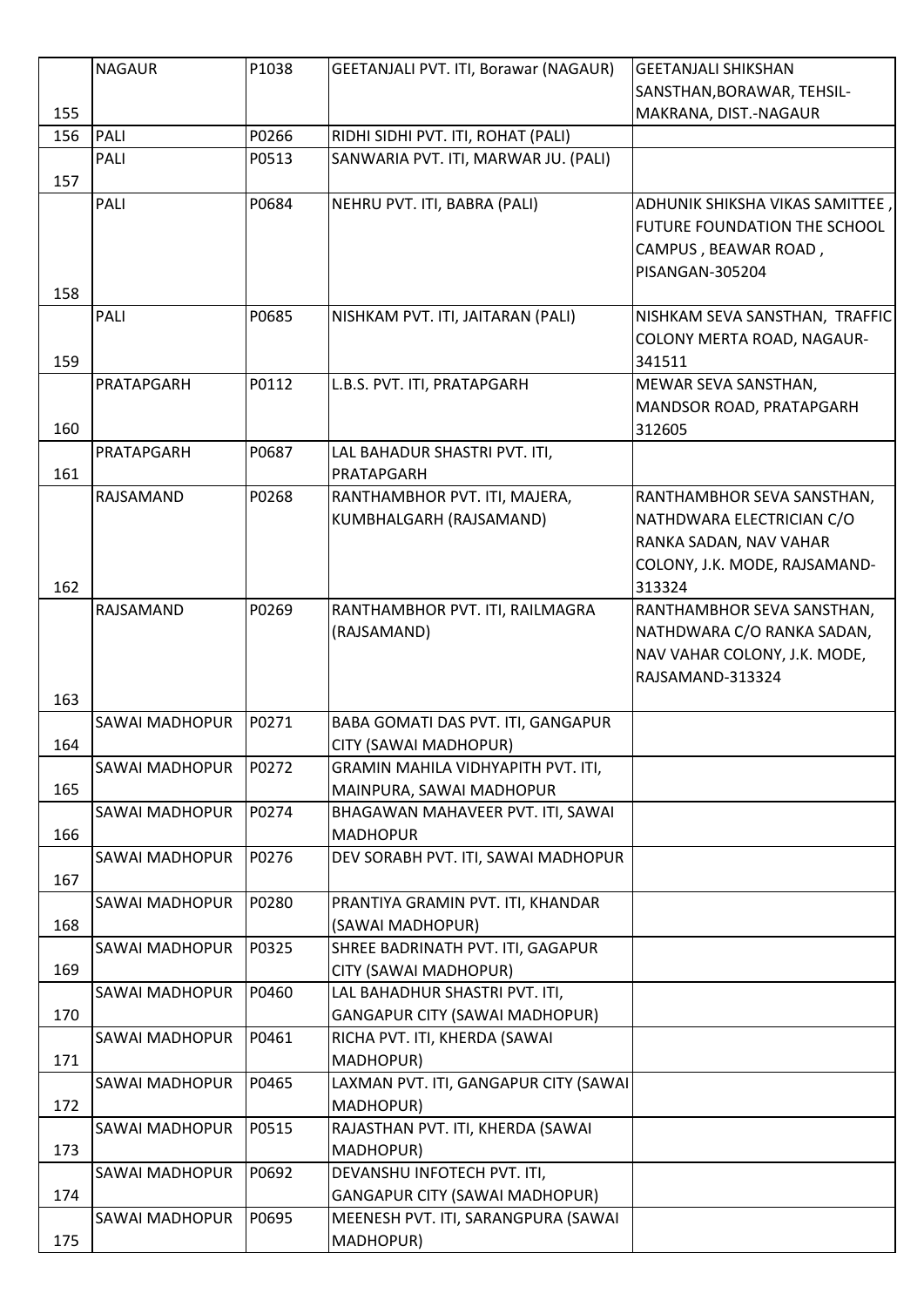|     | <b>NAGAUR</b>         | P1038 | GEETANJALI PVT. ITI, Borawar (NAGAUR) | <b>GEETANJALI SHIKSHAN</b>     |
|-----|-----------------------|-------|---------------------------------------|--------------------------------|
|     |                       |       |                                       | SANSTHAN, BORAWAR, TEHSIL-     |
| 155 |                       |       |                                       | MAKRANA, DIST.-NAGAUR          |
| 156 | <b>PALI</b>           | P0266 | RIDHI SIDHI PVT. ITI, ROHAT (PALI)    |                                |
|     | <b>PALI</b>           | P0513 | SANWARIA PVT. ITI, MARWAR JU. (PALI)  |                                |
| 157 |                       |       |                                       |                                |
|     | <b>PALI</b>           | P0684 | NEHRU PVT. ITI, BABRA (PALI)          | ADHUNIK SHIKSHA VIKAS SAMITTEE |
|     |                       |       |                                       | FUTURE FOUNDATION THE SCHOOL   |
|     |                       |       |                                       | CAMPUS, BEAWAR ROAD,           |
|     |                       |       |                                       | PISANGAN-305204                |
| 158 |                       |       |                                       |                                |
|     | <b>PALI</b>           | P0685 | NISHKAM PVT. ITI, JAITARAN (PALI)     | NISHKAM SEVA SANSTHAN, TRAFFIC |
|     |                       |       |                                       | COLONY MERTA ROAD, NAGAUR-     |
| 159 |                       |       |                                       | 341511                         |
|     | PRATAPGARH            | P0112 | L.B.S. PVT. ITI, PRATAPGARH           | MEWAR SEVA SANSTHAN,           |
|     |                       |       |                                       | MANDSOR ROAD, PRATAPGARH       |
| 160 |                       |       |                                       | 312605                         |
|     | PRATAPGARH            | P0687 | LAL BAHADUR SHASTRI PVT. ITI,         |                                |
| 161 |                       |       | PRATAPGARH                            |                                |
|     | RAJSAMAND             | P0268 | RANTHAMBHOR PVT. ITI, MAJERA,         | RANTHAMBHOR SEVA SANSTHAN,     |
|     |                       |       | KUMBHALGARH (RAJSAMAND)               | NATHDWARA ELECTRICIAN C/O      |
|     |                       |       |                                       | RANKA SADAN, NAV VAHAR         |
|     |                       |       |                                       | COLONY, J.K. MODE, RAJSAMAND-  |
| 162 |                       |       |                                       | 313324                         |
|     | RAJSAMAND             | P0269 | RANTHAMBHOR PVT. ITI, RAILMAGRA       | RANTHAMBHOR SEVA SANSTHAN,     |
|     |                       |       | (RAJSAMAND)                           | NATHDWARA C/O RANKA SADAN,     |
|     |                       |       |                                       | NAV VAHAR COLONY, J.K. MODE,   |
|     |                       |       |                                       | RAJSAMAND-313324               |
| 163 |                       |       |                                       |                                |
|     | <b>SAWAI MADHOPUR</b> | P0271 | BABA GOMATI DAS PVT. ITI, GANGAPUR    |                                |
| 164 |                       |       | CITY (SAWAI MADHOPUR)                 |                                |
|     | SAWAI MADHOPUR        | P0272 | GRAMIN MAHILA VIDHYAPITH PVT. ITI,    |                                |
| 165 |                       |       | MAINPURA, SAWAI MADHOPUR              |                                |
|     | SAWAI MADHOPUR        | P0274 | BHAGAWAN MAHAVEER PVT. ITI, SAWAI     |                                |
| 166 |                       |       | <b>MADHOPUR</b>                       |                                |
|     | <b>SAWAI MADHOPUR</b> | P0276 | DEV SORABH PVT. ITI, SAWAI MADHOPUR   |                                |
| 167 |                       |       |                                       |                                |
|     | <b>SAWAI MADHOPUR</b> | P0280 | PRANTIYA GRAMIN PVT. ITI, KHANDAR     |                                |
| 168 |                       |       | (SAWAI MADHOPUR)                      |                                |
|     | SAWAI MADHOPUR        | P0325 | SHREE BADRINATH PVT. ITI, GAGAPUR     |                                |
| 169 |                       |       | CITY (SAWAI MADHOPUR)                 |                                |
|     | <b>SAWAI MADHOPUR</b> | P0460 | LAL BAHADHUR SHASTRI PVT. ITI,        |                                |
| 170 |                       |       | <b>GANGAPUR CITY (SAWAI MADHOPUR)</b> |                                |
|     | SAWAI MADHOPUR        | P0461 | RICHA PVT. ITI, KHERDA (SAWAI         |                                |
| 171 |                       |       | MADHOPUR)                             |                                |
|     | SAWAI MADHOPUR        | P0465 | LAXMAN PVT. ITI, GANGAPUR CITY (SAWAI |                                |
| 172 |                       |       | MADHOPUR)                             |                                |
|     | <b>SAWAI MADHOPUR</b> | P0515 | RAJASTHAN PVT. ITI, KHERDA (SAWAI     |                                |
| 173 |                       |       | MADHOPUR)                             |                                |
|     | SAWAI MADHOPUR        | P0692 | DEVANSHU INFOTECH PVT. ITI,           |                                |
| 174 |                       |       | <b>GANGAPUR CITY (SAWAI MADHOPUR)</b> |                                |
|     | <b>SAWAI MADHOPUR</b> | P0695 | MEENESH PVT. ITI, SARANGPURA (SAWAI   |                                |
| 175 |                       |       | MADHOPUR)                             |                                |
|     |                       |       |                                       |                                |